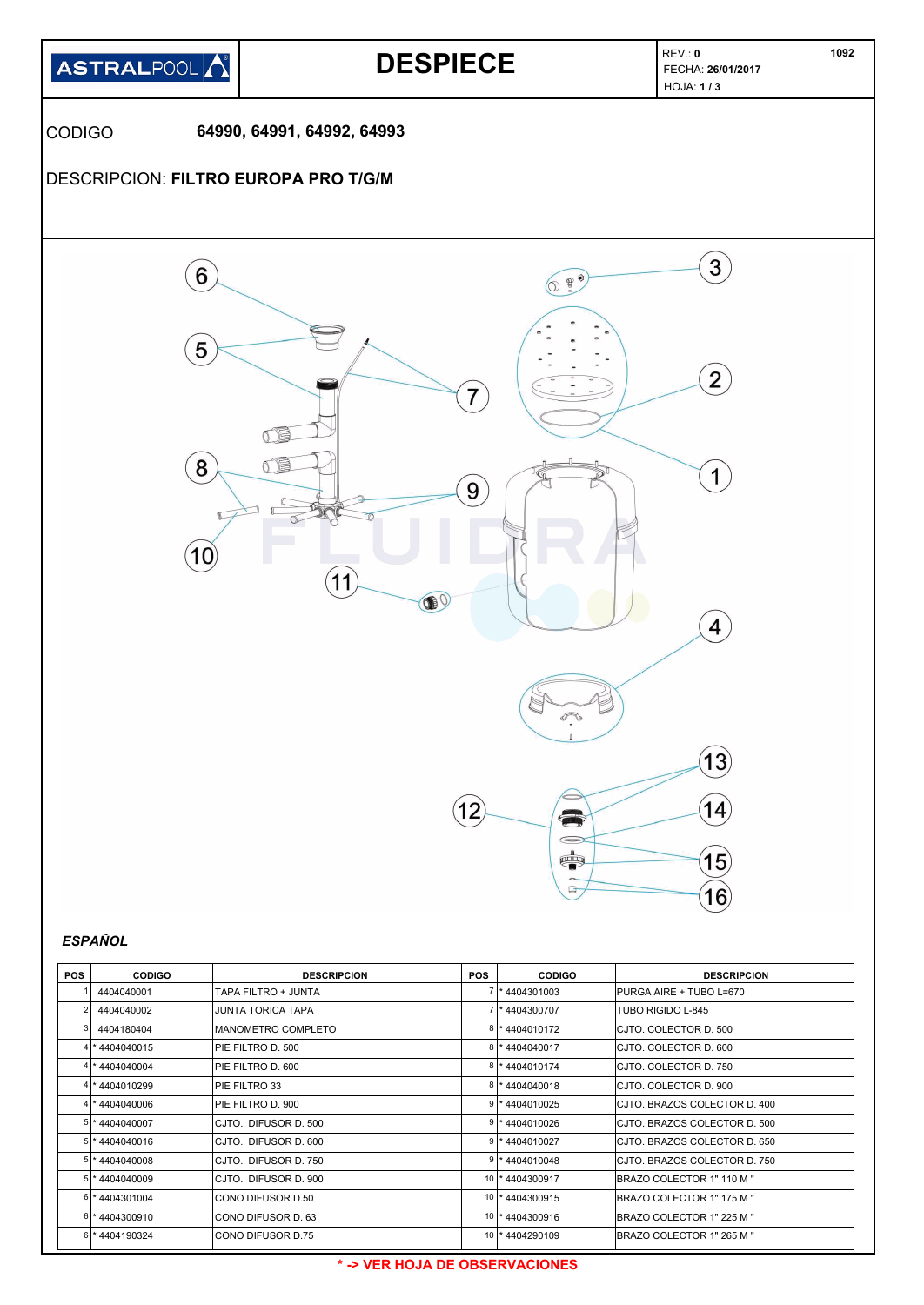

| <b>POS</b> | <b>CODIGO</b>    | <b>DESCRIPCION</b>   | <b>POS</b>      | <b>CODIGO</b>     | <b>DESCRIPCION</b>                |
|------------|------------------|----------------------|-----------------|-------------------|-----------------------------------|
|            | 4404040001       | TAPA FILTRO + JUNTA  |                 | 4404301003        | IPURGA AIRE + TUBO L=670          |
| 2          | 4404040002       | JUNTA TORICA TAPA    |                 | 4404300707        | TUBO RIGIDO L-845                 |
|            | 4404180404       | MANOMETRO COMPLETO   |                 | 4404010172        | ICJTO. COLECTOR D. 500            |
|            | 4 * 4404040015   | PIE FILTRO D. 500    | 81              | 4404040017        | ICJTO. COLECTOR D. 600            |
|            | 4 * 4404040004   | PIE FILTRO D. 600    |                 | 4404010174        | ICJTO. COLECTOR D. 750            |
|            | 4 * 4404010299   | PIE FILTRO 33        |                 | 4404040018        | ICJTO. COLECTOR D. 900            |
|            | 4 * 4404040006   | PIE FILTRO D. 900    |                 | 4404010025        | ICJTO. BRAZOS COLECTOR D. 400     |
|            | $5$ * 4404040007 | CJTO. DIFUSOR D. 500 |                 | 4404010026        | ICJTO. BRAZOS COLECTOR D. 500     |
|            | 5 * 4404040016   | CJTO. DIFUSOR D. 600 |                 | 4404010027        | ICJTO. BRAZOS COLECTOR D. 650     |
|            | 5 * 4404040008   | CJTO. DIFUSOR D. 750 |                 | 4404010048        | ICJTO. BRAZOS COLECTOR D. 750     |
|            | 5 * 4404040009   | CJTO. DIFUSOR D. 900 | 10              | 4404300917        | <b>IBRAZO COLECTOR 1" 110 M "</b> |
|            | 6 *4404301004    | CONO DIFUSOR D.50    |                 | 10   * 4404300915 | <b>IBRAZO COLECTOR 1" 175 M "</b> |
|            | 6 * 4404300910   | CONO DIFUSOR D. 63   | 10              | 4404300916        | IBRAZO COLECTOR 1" 225 M "        |
|            | 6 * 4404190324   | CONO DIFUSOR D.75    | 10 <sup>1</sup> | *4404290109       | <b>IBRAZO COLECTOR 1" 265 M "</b> |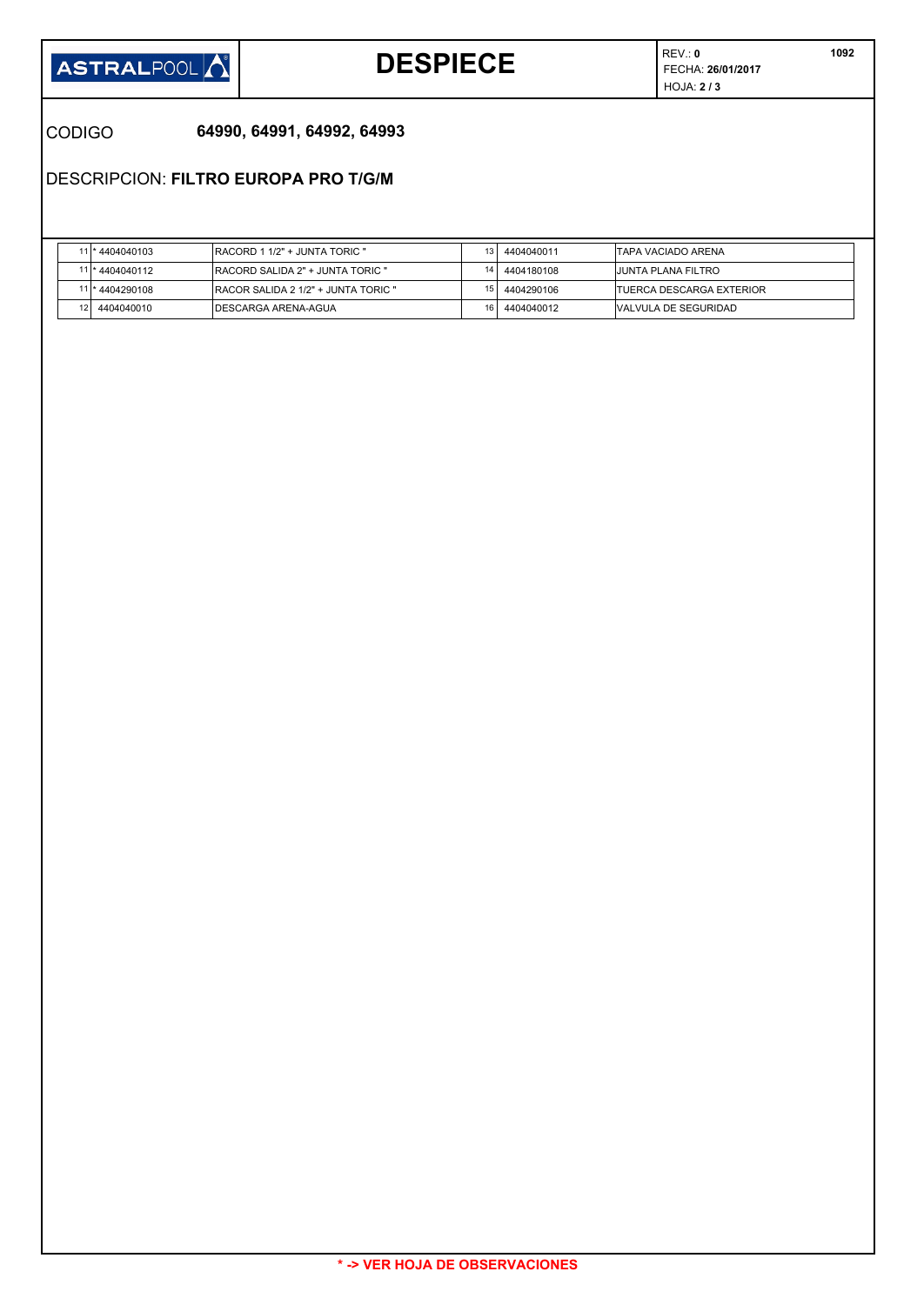

## **DESPIECE FECHA: 26/01/2017**

REV.: **0** HOJA: **2 / 3** 

## CODIGO **64990, 64991, 64992, 64993**

DESCRIPCION: **FILTRO EUROPA PRO T/G/M**

|                 | *4404040103     | <b>IRACORD 1 1/2" + JUNTA TORIC "</b> |                 | 4404040011 | ITAPA VACIADO ARENA              |
|-----------------|-----------------|---------------------------------------|-----------------|------------|----------------------------------|
|                 | 11 * 4404040112 | IRACORD SALIDA 2" + JUNTA TORIC "     |                 | 4404180108 | IJUNTA PLANA FILTRO              |
|                 | * 4404290108    | IRACOR SALIDA 2 1/2" + JUNTA TORIC "  |                 | 4404290106 | <b>ITUERCA DESCARGA EXTERIOR</b> |
| 12 <sub>1</sub> | 4404040010      | IDESCARGA ARENA-AGUA                  | 16 <sub>1</sub> | 4404040012 | <b>NALVULA DE SEGURIDAD</b>      |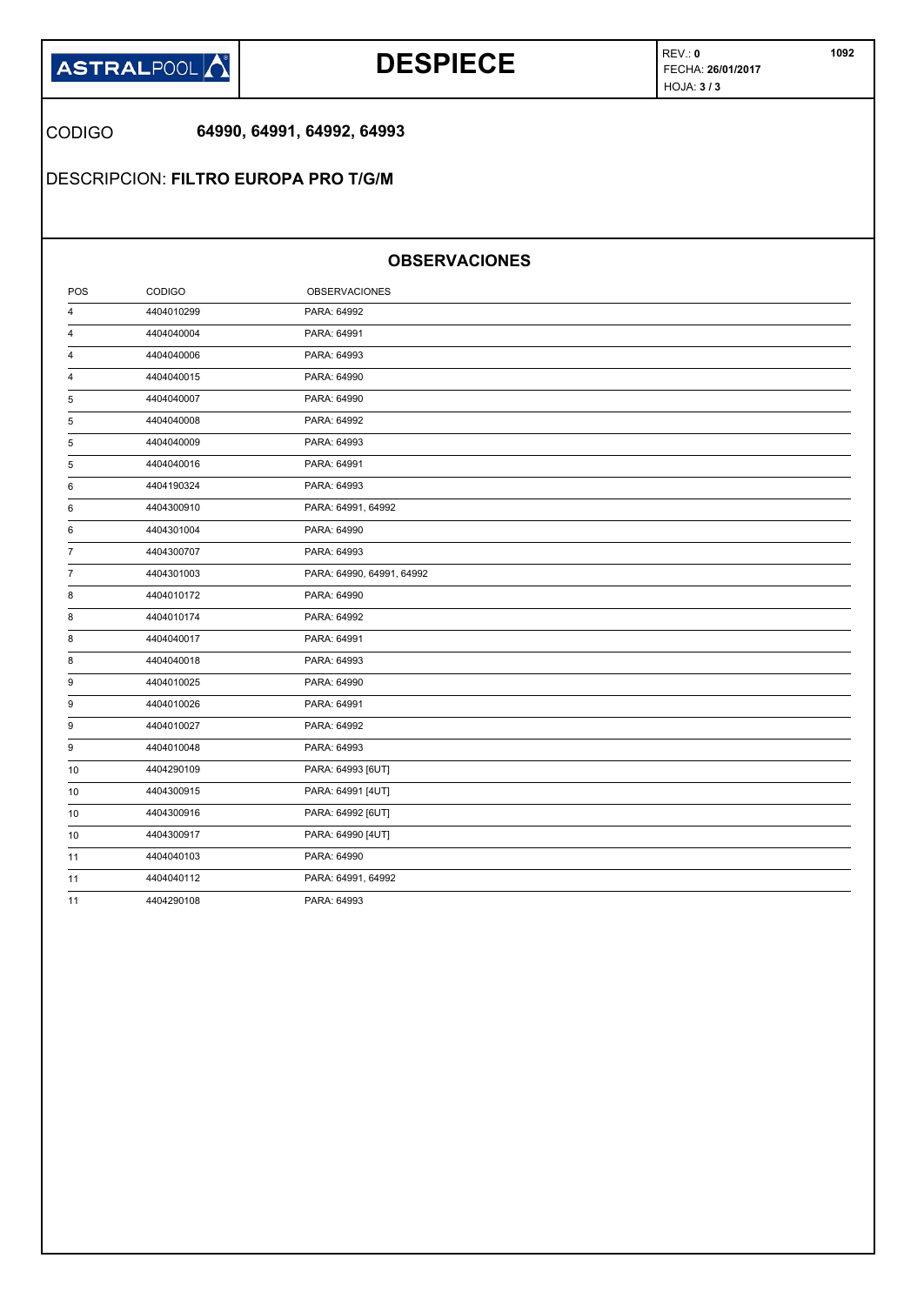

## **DESPIECE FECHA: 26/01/2017**

REV.: **0** HOJA: **3 / 3** 

CODIGO **64990, 64991, 64992, 64993**

DESCRIPCION: **FILTRO EUROPA PRO T/G/M**

## **OBSERVACIONES**

| POS            | CODIGO     | <b>OBSERVACIONES</b>      |
|----------------|------------|---------------------------|
| 4              | 4404010299 | PARA: 64992               |
| 4              | 4404040004 | PARA: 64991               |
| 4              | 4404040006 | PARA: 64993               |
| 4              | 4404040015 | PARA: 64990               |
| 5              | 4404040007 | PARA: 64990               |
| 5              | 4404040008 | PARA: 64992               |
| 5              | 4404040009 | PARA: 64993               |
| 5              | 4404040016 | PARA: 64991               |
| 6              | 4404190324 | PARA: 64993               |
| 6              | 4404300910 | PARA: 64991, 64992        |
| 6              | 4404301004 | PARA: 64990               |
| $\overline{7}$ | 4404300707 | PARA: 64993               |
| $\overline{7}$ | 4404301003 | PARA: 64990, 64991, 64992 |
| 8              | 4404010172 | PARA: 64990               |
| 8              | 4404010174 | PARA: 64992               |
| 8              | 4404040017 | PARA: 64991               |
| 8              | 4404040018 | PARA: 64993               |
| 9              | 4404010025 | PARA: 64990               |
| 9              | 4404010026 | PARA: 64991               |
| 9              | 4404010027 | PARA: 64992               |
| 9              | 4404010048 | PARA: 64993               |
| 10             | 4404290109 | PARA: 64993 [6UT]         |
| 10             | 4404300915 | PARA: 64991 [4UT]         |
| 10             | 4404300916 | PARA: 64992 [6UT]         |
| 10             | 4404300917 | PARA: 64990 [4UT]         |
| 11             | 4404040103 | PARA: 64990               |
| 11             | 4404040112 | PARA: 64991, 64992        |
| 11             | 4404290108 | PARA: 64993               |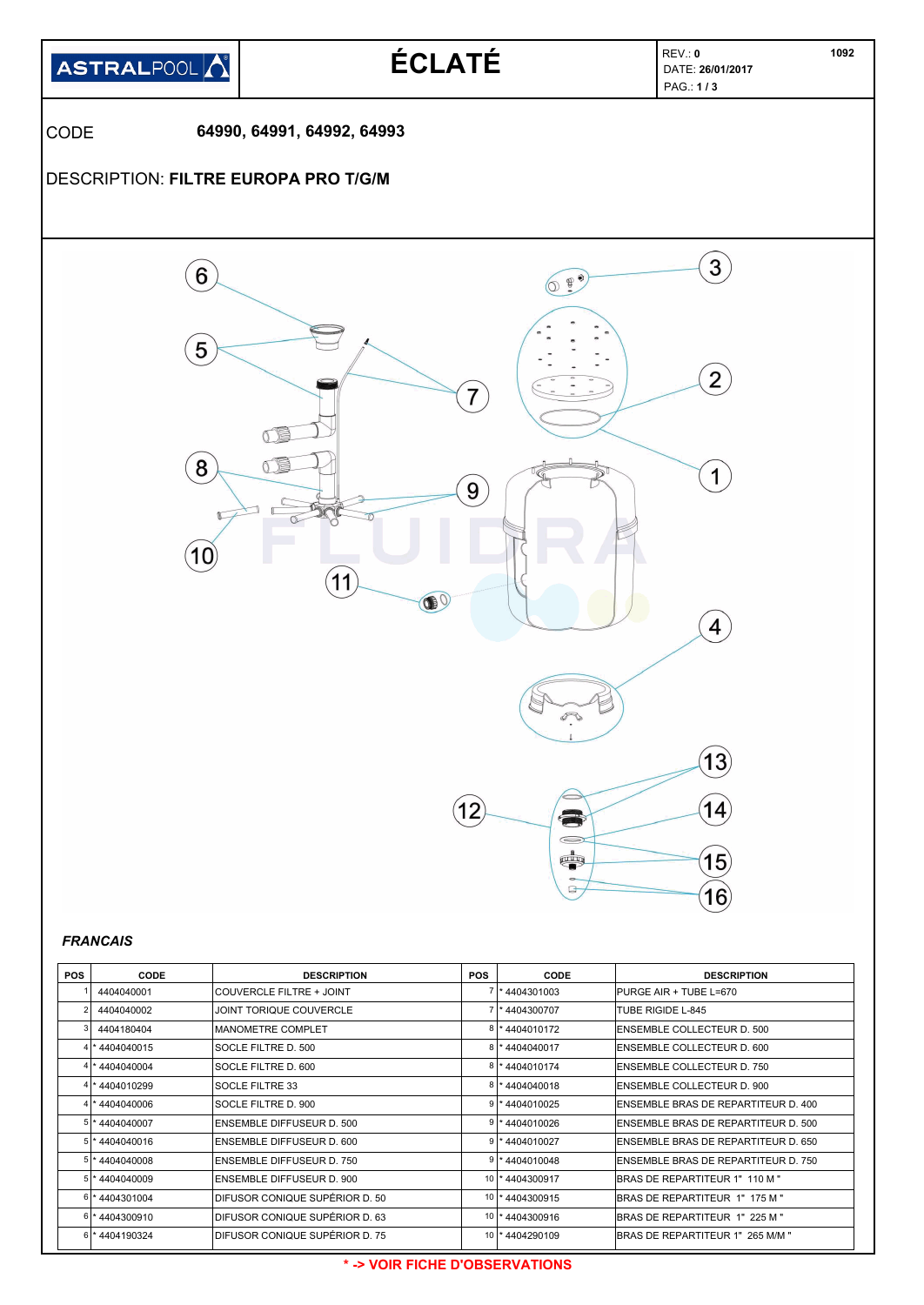

| <b>POS</b> | CODE           | <b>DESCRIPTION</b>               | <b>POS</b> | <b>CODE</b>       | <b>DESCRIPTION</b>                  |
|------------|----------------|----------------------------------|------------|-------------------|-------------------------------------|
|            | 4404040001     | <b>ICOUVERCLE FILTRE + JOINT</b> |            | *4404301003       | <b>PURGE AIR + TUBE L=670</b>       |
| 2          | 4404040002     | JOINT TORIQUE COUVERCLE          |            | *4404300707       | TUBE RIGIDE L-845                   |
|            | 4404180404     | <b>MANOMETRE COMPLET</b>         | 8          | *4404010172       | <b>IENSEMBLE COLLECTEUR D. 500</b>  |
|            | 4 * 4404040015 | SOCLE FILTRE D. 500              |            | 8 * 4404040017    | ENSEMBLE COLLECTEUR D. 600          |
|            | *4404040004    | SOCLE FILTRE D. 600              |            | *4404010174       | <b>ENSEMBLE COLLECTEUR D. 750</b>   |
|            | 4 * 4404010299 | <b>SOCLE FILTRE 33</b>           |            | 8 * 4404040018    | <b>ENSEMBLE COLLECTEUR D. 900</b>   |
|            | *4404040006    | SOCLE FILTRE D. 900              |            | * 4404010025      | ENSEMBLE BRAS DE REPARTITEUR D. 400 |
|            | 5 * 4404040007 | ENSEMBLE DIFFUSEUR D. 500        |            | *4404010026       | ENSEMBLE BRAS DE REPARTITEUR D. 500 |
|            | 5 * 4404040016 | <b>ENSEMBLE DIFFUSEUR D. 600</b> |            | * 4404010027      | ENSEMBLE BRAS DE REPARTITEUR D. 650 |
|            | 5 * 4404040008 | <b>ENSEMBLE DIFFUSEUR D. 750</b> | 9          | *4404010048       | ENSEMBLE BRAS DE REPARTITEUR D. 750 |
|            | 5 * 4404040009 | <b>ENSEMBLE DIFFUSEUR D. 900</b> |            | 10 * 4404300917   | BRAS DE REPARTITEUR 1" 110 M "      |
|            | 6 * 4404301004 | DIFUSOR CONIQUE SUPÉRIOR D. 50   |            | 10   * 4404300915 | BRAS DE REPARTITEUR 1" 175 M "      |
|            | 6 * 4404300910 | DIFUSOR CONIQUE SUPÉRIOR D. 63   |            | 10   * 4404300916 | IBRAS DE REPARTITEUR  1"  225 M "   |
|            | 6 * 4404190324 | IDIFUSOR CONIQUE SUPÉRIOR D. 75  |            | 10   * 4404290109 | BRAS DE REPARTITEUR 1" 265 M/M "    |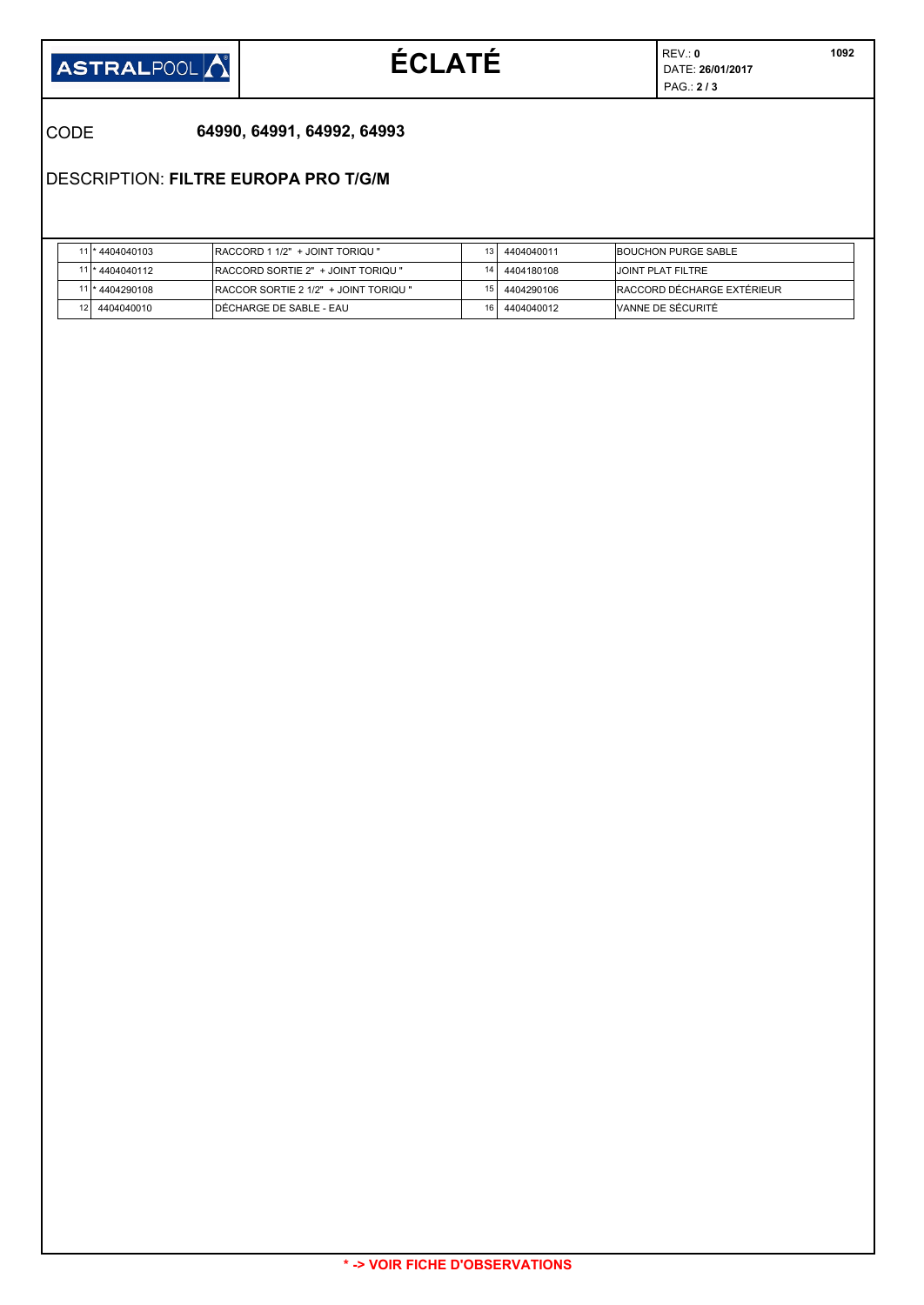

# $ÉCLATÉ$

REV.: **0** PAG.: **2 / 3** 

CODE **64990, 64991, 64992, 64993**

DESCRIPTION: **FILTRE EUROPA PRO T/G/M**

|    | *4404040103     | <b>IRACCORD 1 1/2" + JOINT TORIQU "</b>       |                 | 4404040011 | <b>IBOUCHON PURGE SABLE</b> |
|----|-----------------|-----------------------------------------------|-----------------|------------|-----------------------------|
|    | 11 * 4404040112 | <b>IRACCORD SORTIE 2" + JOINT TORIQU "</b>    |                 | 4404180108 | IJOINT PLAT FILTRE          |
|    | *4404290108     | <b>IRACCOR SORTIE 2 1/2" + JOINT TORIQU "</b> |                 | 4404290106 | IRACCORD DÉCHARGE EXTÉRIEUR |
| 12 | 4404040010      | IDÉCHARGE DE SABLE - EAU                      | 16 <sub>1</sub> | 4404040012 | VANNE DE SÉCURITÉ           |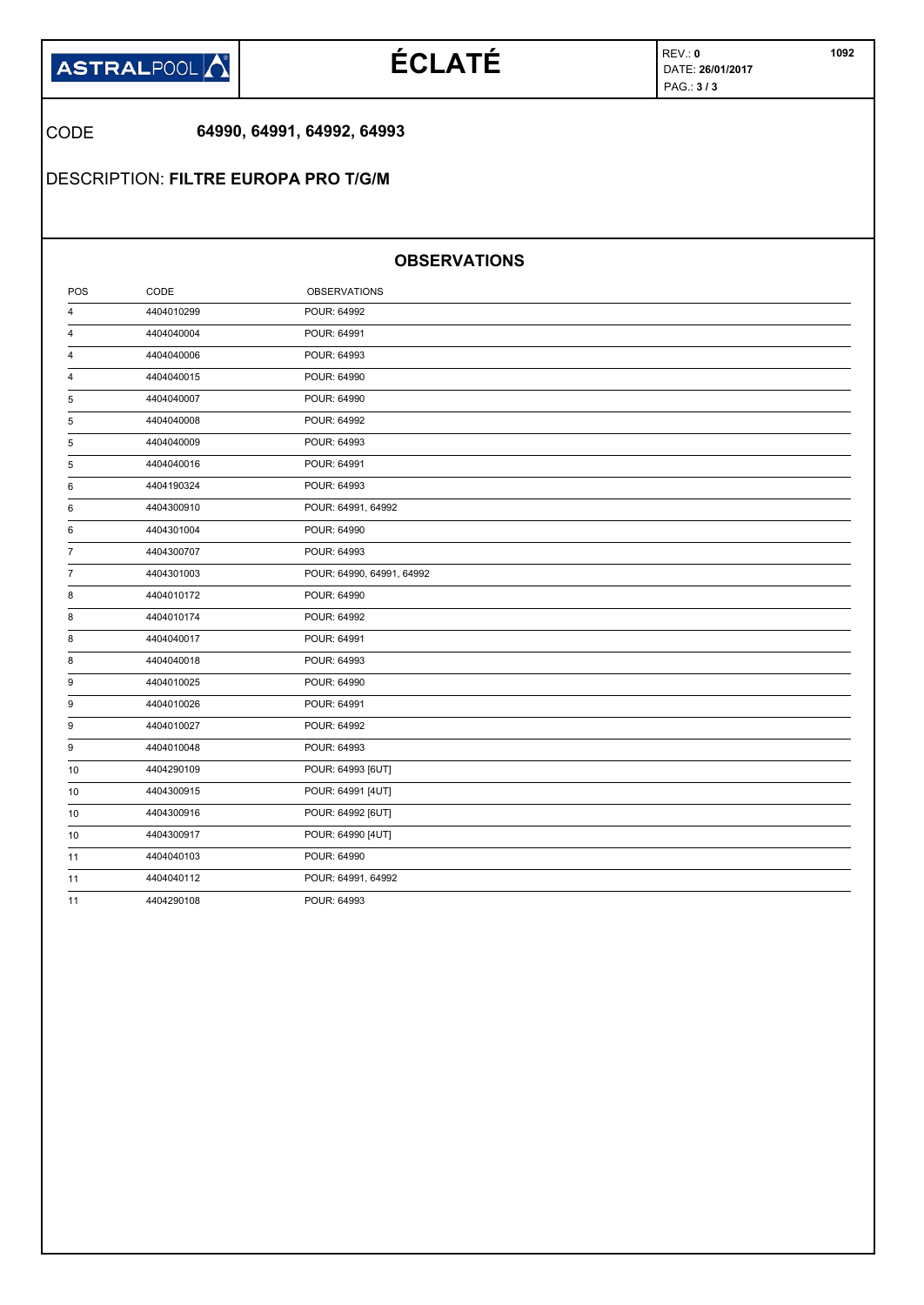

# **ÉCLATÉ DATE DATE**: **26/01/2017**

REV.: **0** PAG.: **3 / 3** 

## CODE **64990, 64991, 64992, 64993**

DESCRIPTION: **FILTRE EUROPA PRO T/G/M**

## **OBSERVATIONS**

| POS            | CODE       | <b>OBSERVATIONS</b>       |
|----------------|------------|---------------------------|
| 4              | 4404010299 | POUR: 64992               |
| 4              | 4404040004 | POUR: 64991               |
| 4              | 4404040006 | POUR: 64993               |
| 4              | 4404040015 | POUR: 64990               |
| 5              | 4404040007 | POUR: 64990               |
| 5              | 4404040008 | POUR: 64992               |
| 5              | 4404040009 | POUR: 64993               |
| 5              | 4404040016 | POUR: 64991               |
| 6              | 4404190324 | POUR: 64993               |
| 6              | 4404300910 | POUR: 64991, 64992        |
| 6              | 4404301004 | POUR: 64990               |
| $\overline{7}$ | 4404300707 | POUR: 64993               |
| $\overline{7}$ | 4404301003 | POUR: 64990, 64991, 64992 |
| 8              | 4404010172 | POUR: 64990               |
| 8              | 4404010174 | POUR: 64992               |
| 8              | 4404040017 | POUR: 64991               |
| 8              | 4404040018 | POUR: 64993               |
| 9              | 4404010025 | POUR: 64990               |
| 9              | 4404010026 | POUR: 64991               |
| 9              | 4404010027 | POUR: 64992               |
| 9              | 4404010048 | POUR: 64993               |
| 10             | 4404290109 | POUR: 64993 [6UT]         |
| 10             | 4404300915 | POUR: 64991 [4UT]         |
| 10             | 4404300916 | POUR: 64992 [6UT]         |
| 10             | 4404300917 | POUR: 64990 [4UT]         |
| 11             | 4404040103 | POUR: 64990               |
| 11             | 4404040112 | POUR: 64991, 64992        |
| 11             | 4404290108 | POUR: 64993               |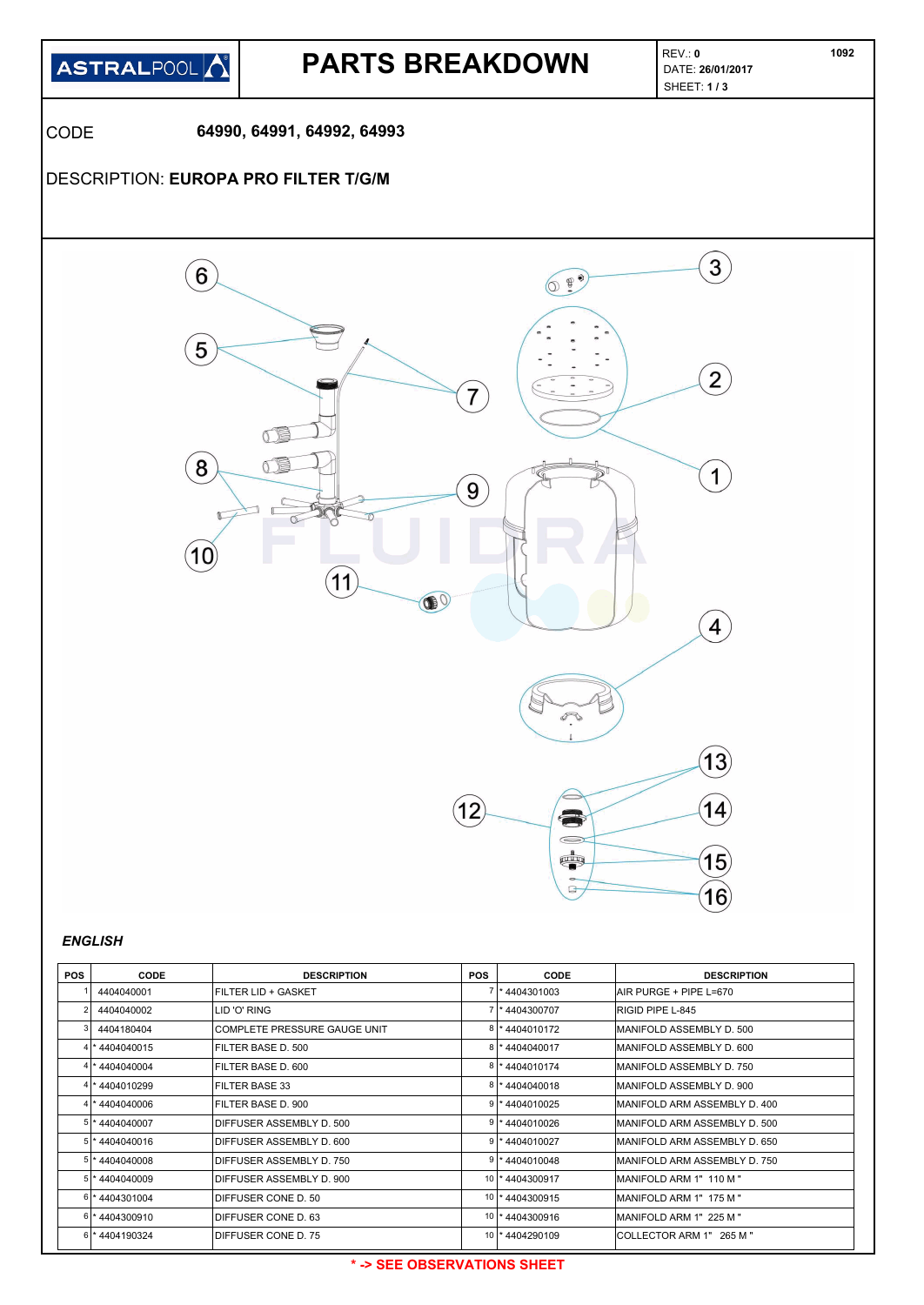

## **PARTS BREAKDOWN**

REV.: **0** SHEET: **1 / 3** 

CODE **64990, 64991, 64992, 64993**

## DESCRIPTION: **EUROPA PRO FILTER T/G/M**



### *ENGLISH*

| <b>POS</b> | <b>CODE</b>    | <b>DESCRIPTION</b>           | <b>POS</b>      | <b>CODE</b>        | <b>DESCRIPTION</b>            |
|------------|----------------|------------------------------|-----------------|--------------------|-------------------------------|
|            | 4404040001     | IFILTER LID + GASKET         |                 | *4404301003        | AIR PURGE + PIPE L=670        |
|            | 4404040002     | LID 'O' RING                 |                 | *4404300707        | RIGID PIPE L-845              |
|            | 4404180404     | COMPLETE PRESSURE GAUGE UNIT |                 | * 4404010172       | MANIFOLD ASSEMBLY D. 500      |
|            | 4404040015     | FILTER BASE D. 500           | 8               | *4404040017        | MANIFOLD ASSEMBLY D. 600      |
|            | 4404040004     | IFILTER BASE D. 600          |                 | *4404010174        | IMANIFOLD ASSEMBLY D. 750     |
|            | 4 * 4404010299 | <b>FILTER BASE 33</b>        |                 | 8 * 4404040018     | MANIFOLD ASSEMBLY D. 900      |
|            | 4404040006 *   | IFILTER BASE D. 900          |                 | 4404010025         | IMANIFOLD ARM ASSEMBLY D. 400 |
|            | 5 * 4404040007 | DIFFUSER ASSEMBLY D. 500     |                 | *4404010026        | MANIFOLD ARM ASSEMBLY D. 500  |
|            | 4404040016     | IDIFFUSER ASSEMBLY D. 600    |                 | 4404010027         | MANIFOLD ARM ASSEMBLY D. 650  |
|            | 5 * 4404040008 | IDIFFUSER ASSEMBLY D. 750    |                 | $9$   * 4404010048 | IMANIFOLD ARM ASSEMBLY D. 750 |
| 5!         | 4404040009     | IDIFFUSER ASSEMBLY D. 900    | 10              | *4404300917        | MANIFOLD ARM 1" 110 M "       |
|            | 6 * 4404301004 | <b>IDIFFUSER CONE D. 50</b>  | 10              | *4404300915        | IMANIFOLD ARM 1" 175 M "      |
|            | 6 * 4404300910 | <b>IDIFFUSER CONE D. 63</b>  | 10 <sup>1</sup> | *4404300916        | IMANIFOLD ARM 1" 225 M "      |
| $61*$      | 4404190324     | IDIFFUSER CONE D. 75         | 10 <sup>1</sup> | *4404290109        | ICOLLECTOR ARM 1" 265 M "     |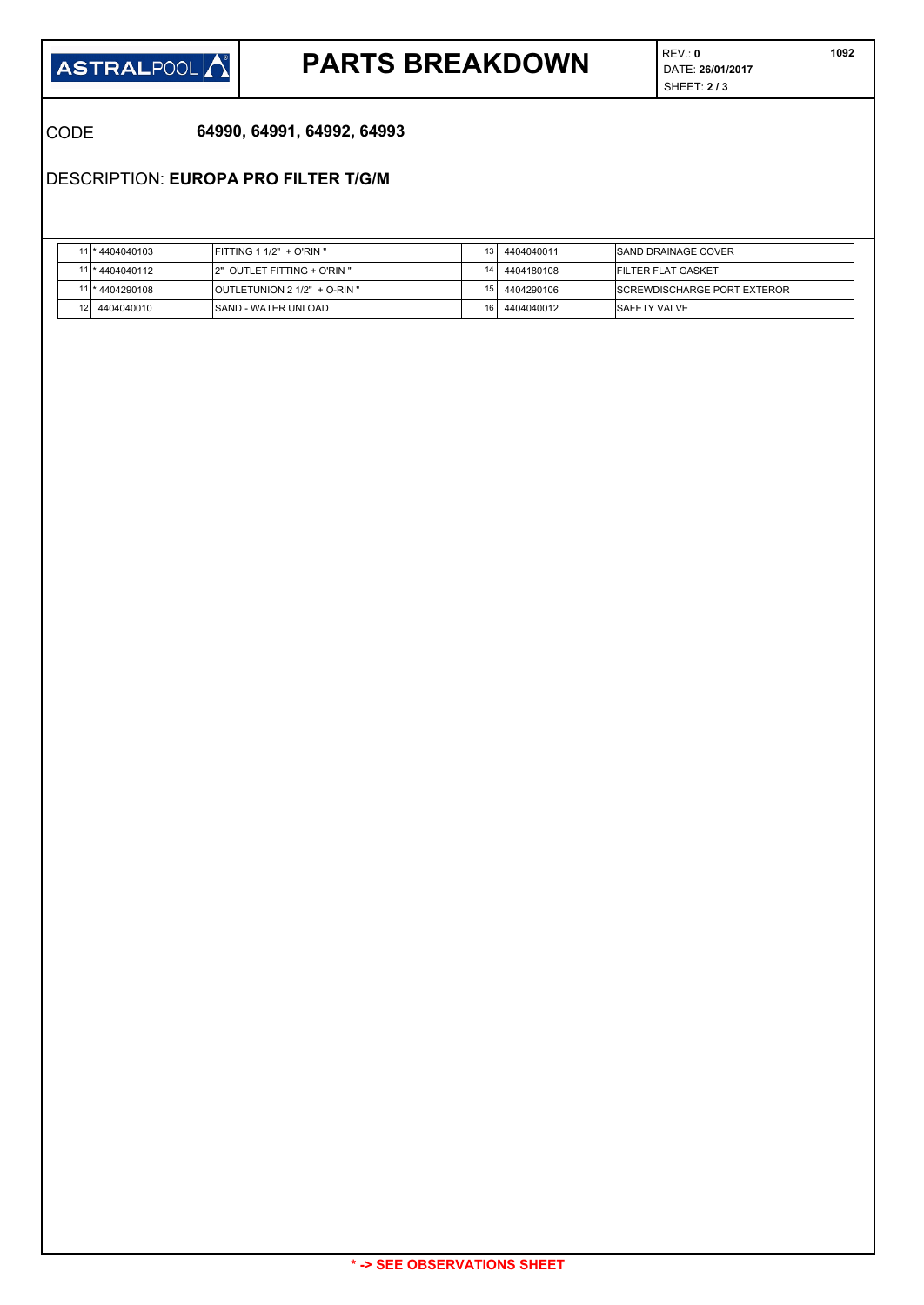

## **PARTS BREAKDOWN DATE: 26/01/2017**

REV.: **0** SHEET: **2 / 3**   **1092**

CODE **64990, 64991, 64992, 64993**

DESCRIPTION: **EUROPA PRO FILTER T/G/M**

| 11 * 4404040103  | $FITTING 1 1/2" + O'RIN"$           | 4404040011 | <b>ISAND DRAINAGE COVER</b>         |
|------------------|-------------------------------------|------------|-------------------------------------|
| 11 * 4404040112  | 2" OUTLET FITTING + O'RIN "         | 4404180108 | <b>FILTER FLAT GASKET</b>           |
| 11 * 4404290108  | <b>OUTLETUNION 2 1/2" + O-RIN "</b> | 4404290106 | <b>ISCREWDISCHARGE PORT EXTEROR</b> |
| 12<br>4404040010 | ISAND - WATER UNLOAD                | 4404040012 | <b>ISAFETY VALVE</b>                |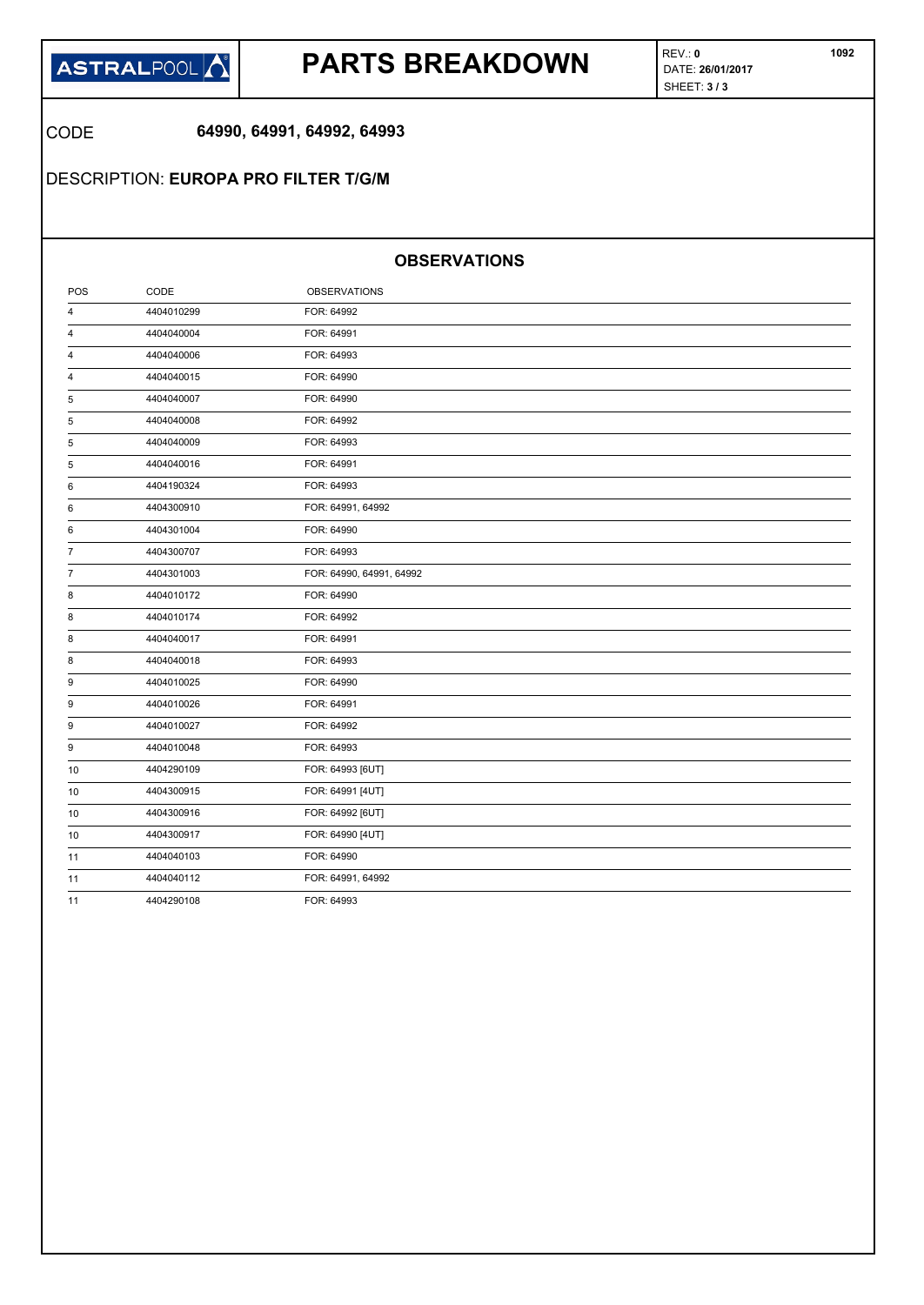

## **PARTS BREAKDOWN DATE: 26/01/2017**

REV.: **0** SHEET: **3 / 3** 

CODE **64990, 64991, 64992, 64993**

DESCRIPTION: **EUROPA PRO FILTER T/G/M**

### **OBSERVATIONS**

| POS            | CODE       | <b>OBSERVATIONS</b>      |  |
|----------------|------------|--------------------------|--|
| 4              | 4404010299 | FOR: 64992               |  |
| 4              | 4404040004 | FOR: 64991               |  |
| 4              | 4404040006 | FOR: 64993               |  |
| 4              | 4404040015 | FOR: 64990               |  |
| 5              | 4404040007 | FOR: 64990               |  |
| 5              | 4404040008 | FOR: 64992               |  |
| 5              | 4404040009 | FOR: 64993               |  |
| 5              | 4404040016 | FOR: 64991               |  |
| 6              | 4404190324 | FOR: 64993               |  |
| 6              | 4404300910 | FOR: 64991, 64992        |  |
| 6              | 4404301004 | FOR: 64990               |  |
| $\overline{7}$ | 4404300707 | FOR: 64993               |  |
| $\overline{7}$ | 4404301003 | FOR: 64990, 64991, 64992 |  |
| 8              | 4404010172 | FOR: 64990               |  |
| 8              | 4404010174 | FOR: 64992               |  |
| 8              | 4404040017 | FOR: 64991               |  |
| 8              | 4404040018 | FOR: 64993               |  |
| 9              | 4404010025 | FOR: 64990               |  |
| 9              | 4404010026 | FOR: 64991               |  |
| 9              | 4404010027 | FOR: 64992               |  |
| 9              | 4404010048 | FOR: 64993               |  |
| 10             | 4404290109 | FOR: 64993 [6UT]         |  |
| 10             | 4404300915 | FOR: 64991 [4UT]         |  |
| 10             | 4404300916 | FOR: 64992 [6UT]         |  |
| 10             | 4404300917 | FOR: 64990 [4UT]         |  |
| 11             | 4404040103 | FOR: 64990               |  |
| 11             | 4404040112 | FOR: 64991, 64992        |  |
| 11             | 4404290108 | FOR: 64993               |  |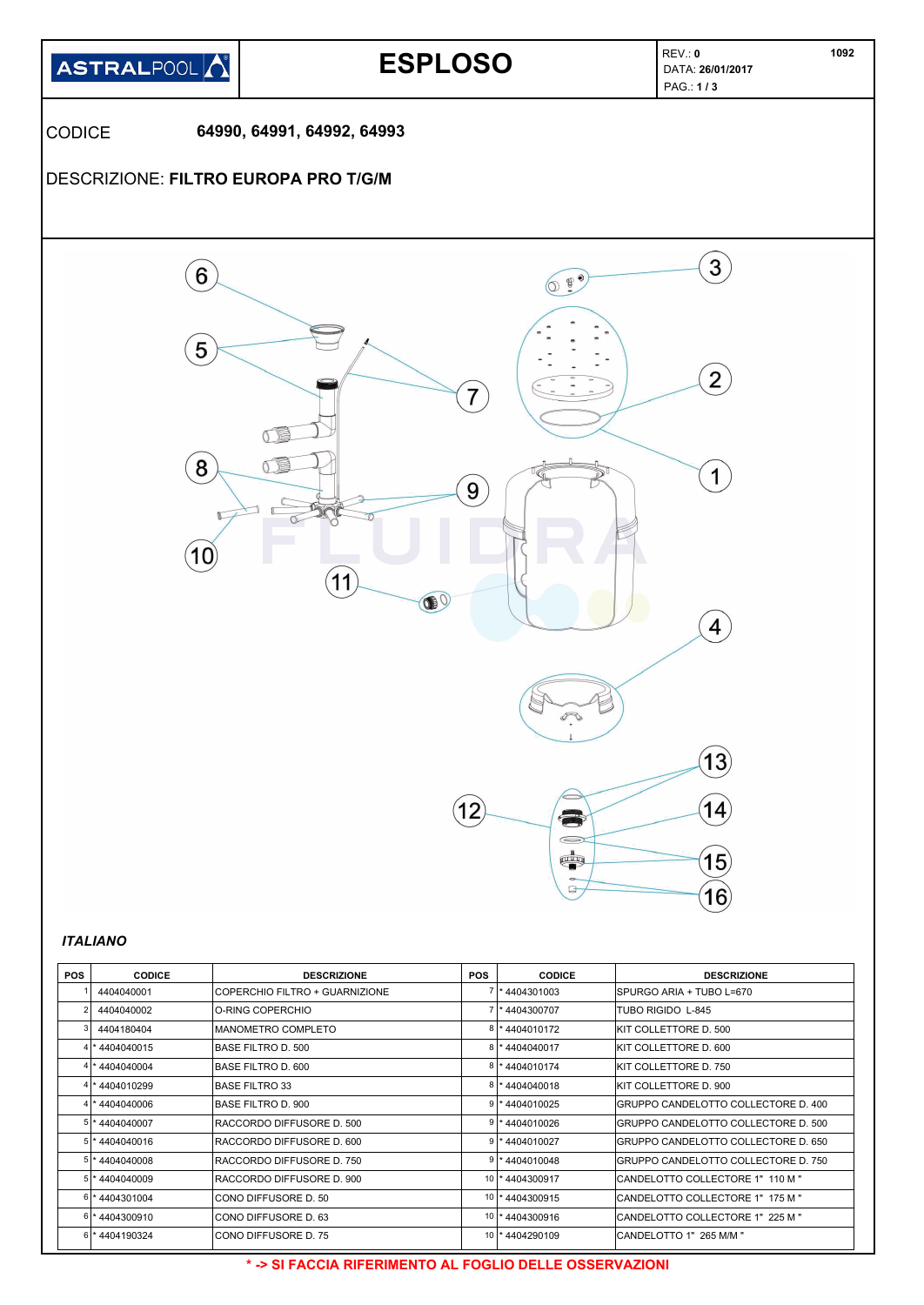

| <b>POS</b> | <b>CODICE</b>  | <b>DESCRIZIONE</b>              | <b>POS</b>      | <b>CODICE</b>   | <b>DESCRIZIONE</b>                   |
|------------|----------------|---------------------------------|-----------------|-----------------|--------------------------------------|
|            | 4404040001     | ICOPERCHIO FILTRO + GUARNIZIONE |                 | *4404301003     | ISPURGO ARIA + TUBO L=670            |
|            | 4404040002     | IO-RING COPERCHIO               |                 | 7  * 4404300707 | <b>TUBO RIGIDO L-845</b>             |
|            | 4404180404     | MANOMETRO COMPLETO              |                 | * 4404010172    | IKIT COLLETTORE D. 500               |
|            | * 4404040015   | IBASE FILTRO D. 500             |                 | 8 * 4404040017  | IKIT COLLETTORE D. 600               |
|            | * 4404040004   | <b>BASE FILTRO D. 600</b>       |                 | *4404010174     | IKIT COLLETTORE D. 750               |
|            | * 4404010299   | <b>BASE FILTRO 33</b>           |                 | *4404040018     | KIT COLLETTORE D. 900                |
|            | *4404040006    | <b>BASE FILTRO D. 900</b>       |                 | * 4404010025    | GRUPPO CANDELOTTO COLLECTORE D. 400  |
|            | 4404040007     | RACCORDO DIFFUSORE D. 500       |                 | *4404010026     | GRUPPO CANDELOTTO COLLECTORE D. 500  |
|            | 4404040016     | IRACCORDO DIFFUSORE D. 600      |                 | 4404010027      | GRUPPO CANDELOTTO COLLECTORE D. 650  |
| 51         | 4404040008     | RACCORDO DIFFUSORE D. 750       | 9               | *4404010048     | IGRUPPO CANDELOTTO COLLECTORE D. 750 |
|            | 4404040009     | IRACCORDO DIFFUSORE D. 900      | 10              | *4404300917     | CANDELOTTO COLLECTORE 1" 110 M "     |
| 61         | *4404301004    | ICONO DIFFUSORE D. 50           | 10 <sup>1</sup> | *4404300915     | CANDELOTTO COLLECTORE 1" 175 M "     |
|            | 6 * 4404300910 | ICONO DIFFUSORE D. 63           | 10              | *4404300916     | CANDELOTTO COLLECTORE 1" 225 M "     |
|            | 6 * 4404190324 | ICONO DIFFUSORE D. 75           |                 | 10 * 4404290109 | CANDELOTTO 1" 265 M/M "              |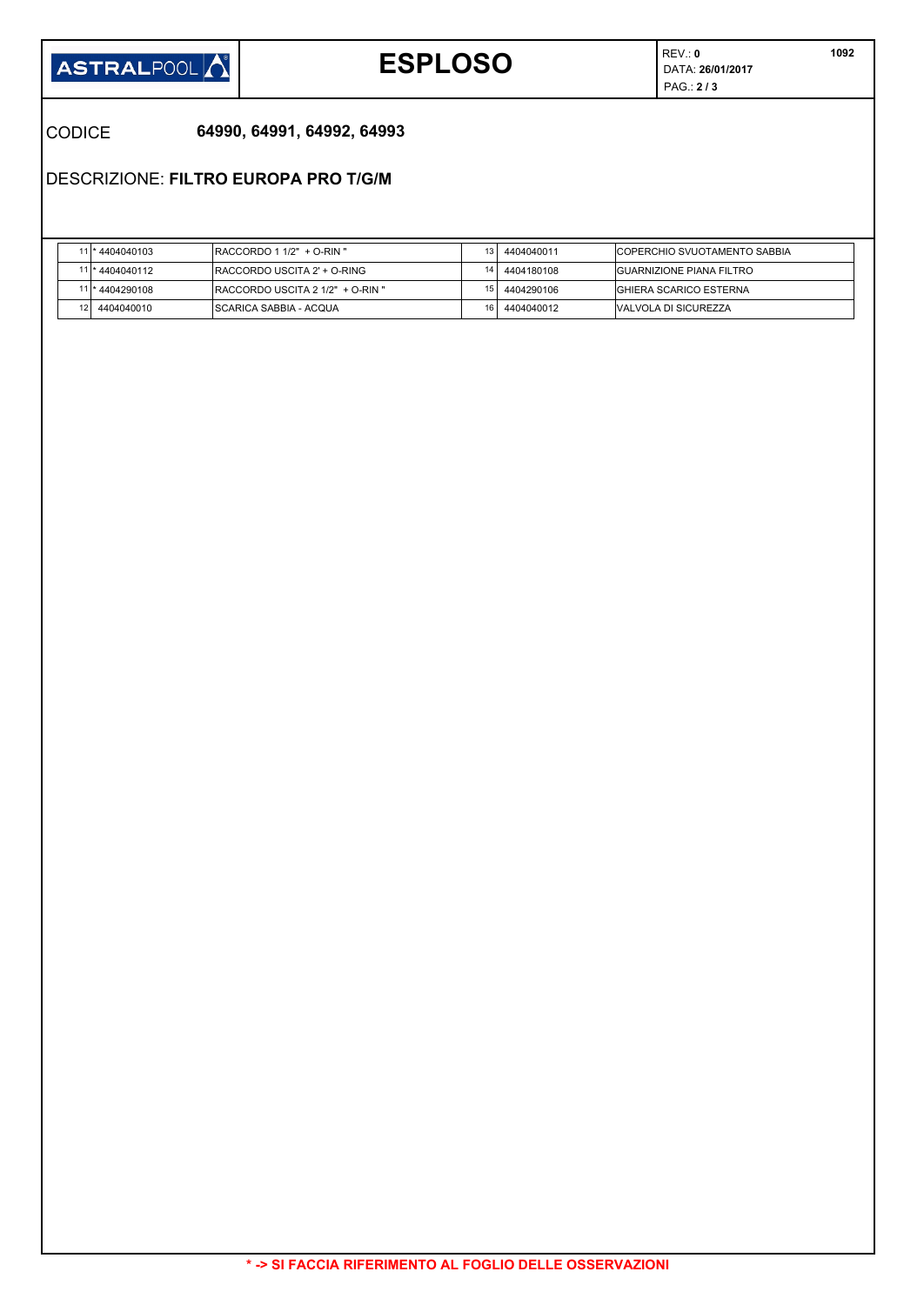

# **ESPLOSO DATA: 26/01/2017**

REV.: **0** PAG.: **2 / 3** 

### CODICE **64990, 64991, 64992, 64993**

DESCRIZIONE: **FILTRO EUROPA PRO T/G/M**

| 11 * 4404040103 | $IRACCORDO 1 1/2" + O-RIN"$       | 4404040011 | <b>ICOPERCHIO SVUOTAMENTO SABBIA</b> |
|-----------------|-----------------------------------|------------|--------------------------------------|
| 11 * 4404040112 | IRACCORDO USCITA 2' + O-RING      | 4404180108 | <b>IGUARNIZIONE PIANA FILTRO</b>     |
| 11 * 4404290108 | IRACCORDO USCITA 2 1/2" + O-RIN " | 4404290106 | IGHIERA SCARICO ESTERNA              |
| 4404040010      | ISCARICA SABBIA - ACQUA           | 4404040012 | IVALVOLA DI SICUREZZA                |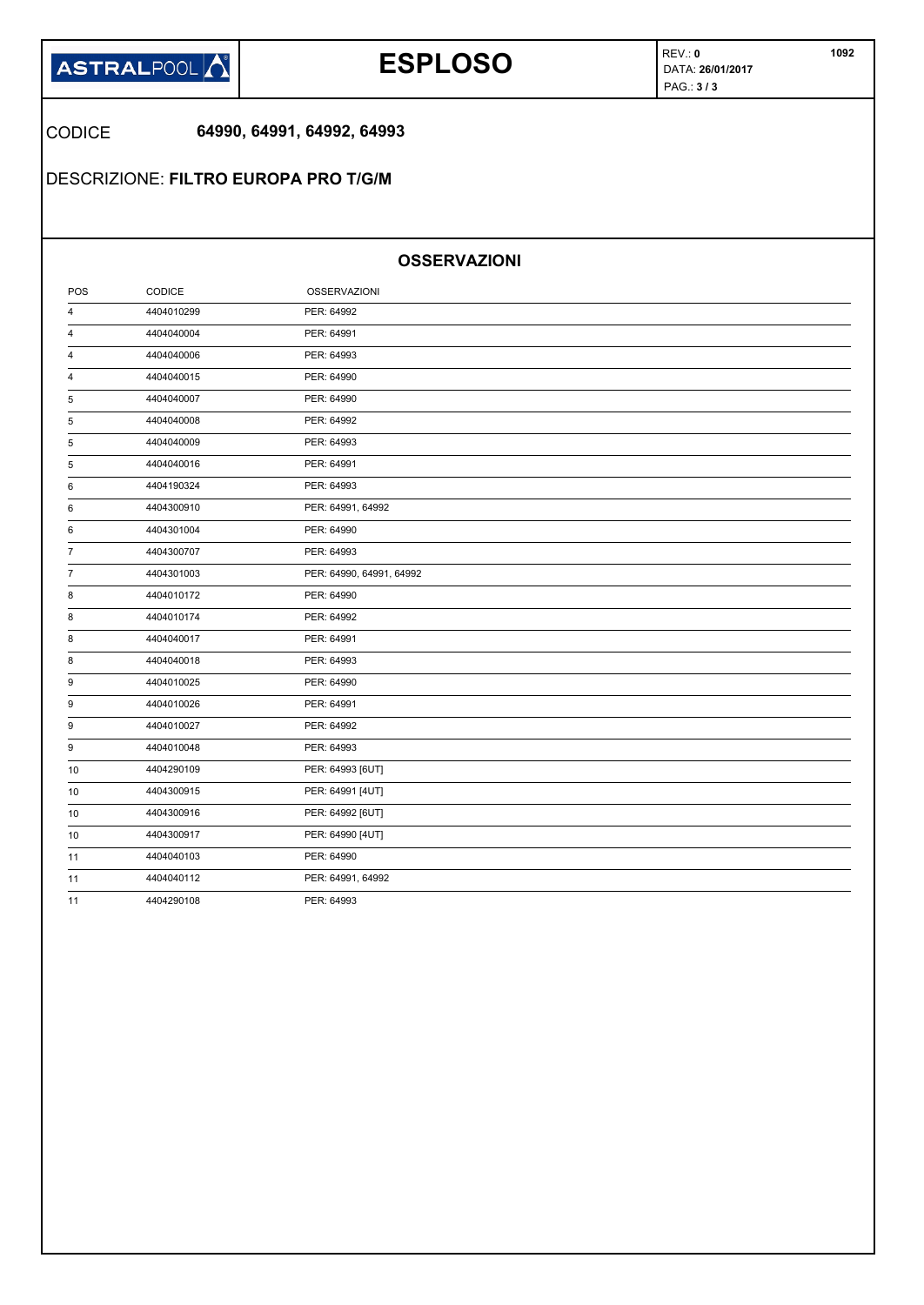

## **ESPLOSO DATA: 26/01/2017**

REV.: **0** PAG.: **3 / 3** 

CODICE **64990, 64991, 64992, 64993**

DESCRIZIONE: **FILTRO EUROPA PRO T/G/M**

### **OSSERVAZIONI**

| POS            | CODICE     | <b>OSSERVAZIONI</b>      |  |
|----------------|------------|--------------------------|--|
| 4              | 4404010299 | PER: 64992               |  |
| 4              | 4404040004 | PER: 64991               |  |
| 4              | 4404040006 | PER: 64993               |  |
| 4              | 4404040015 | PER: 64990               |  |
| 5              | 4404040007 | PER: 64990               |  |
| 5              | 4404040008 | PER: 64992               |  |
| 5              | 4404040009 | PER: 64993               |  |
| 5              | 4404040016 | PER: 64991               |  |
| 6              | 4404190324 | PER: 64993               |  |
| 6              | 4404300910 | PER: 64991, 64992        |  |
| 6              | 4404301004 | PER: 64990               |  |
| $\overline{7}$ | 4404300707 | PER: 64993               |  |
| 7              | 4404301003 | PER: 64990, 64991, 64992 |  |
| 8              | 4404010172 | PER: 64990               |  |
| 8              | 4404010174 | PER: 64992               |  |
| 8              | 4404040017 | PER: 64991               |  |
| 8              | 4404040018 | PER: 64993               |  |
| 9              | 4404010025 | PER: 64990               |  |
| 9              | 4404010026 | PER: 64991               |  |
| 9              | 4404010027 | PER: 64992               |  |
| 9              | 4404010048 | PER: 64993               |  |
| 10             | 4404290109 | PER: 64993 [6UT]         |  |
| 10             | 4404300915 | PER: 64991 [4UT]         |  |
| 10             | 4404300916 | PER: 64992 [6UT]         |  |
| 10             | 4404300917 | PER: 64990 [4UT]         |  |
| 11             | 4404040103 | PER: 64990               |  |
| 11             | 4404040112 | PER: 64991, 64992        |  |
| 11             | 4404290108 | PER: 64993               |  |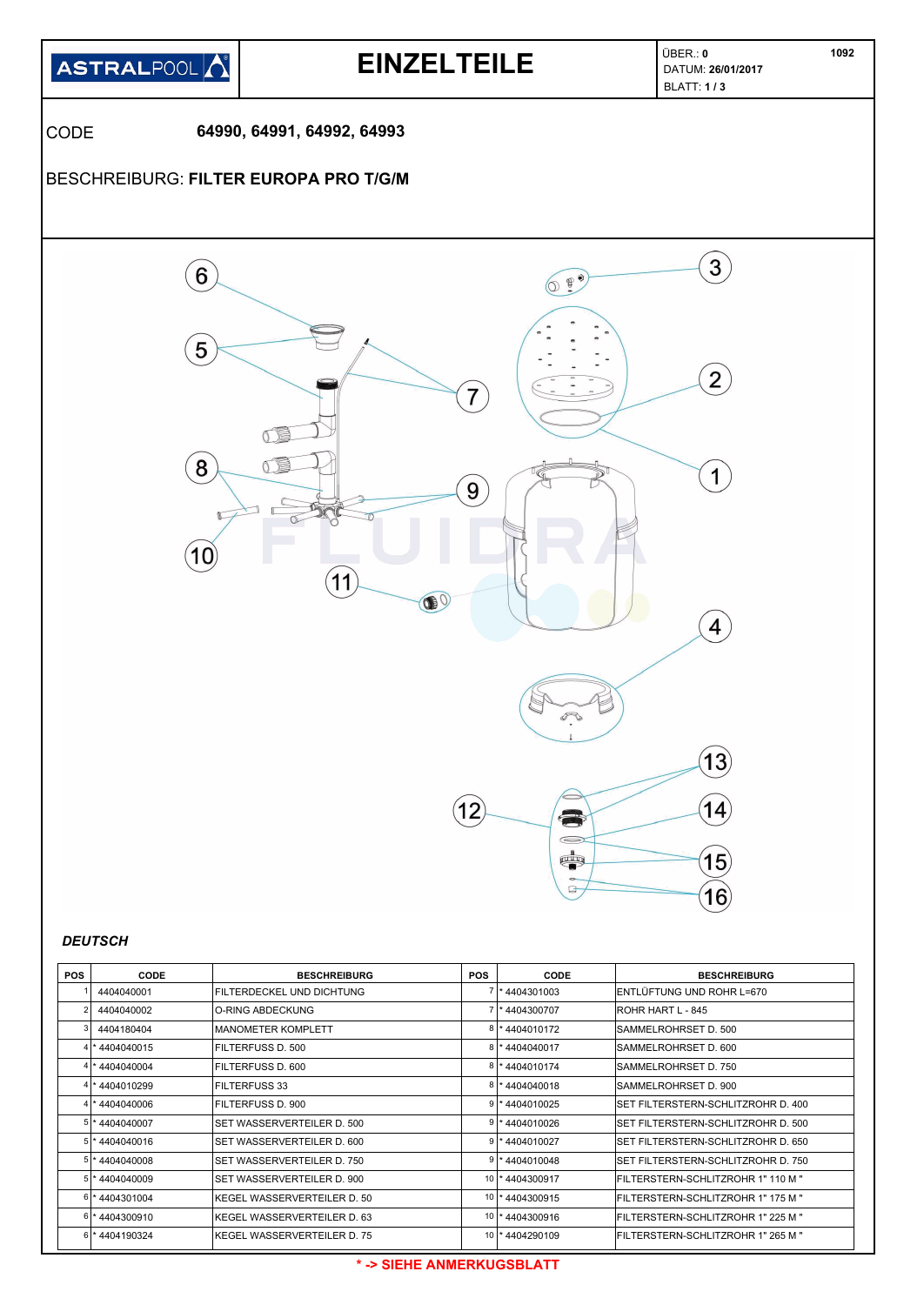

| <b>POS</b>     | CODE           | <b>BESCHREIBURG</b>          | <b>POS</b> | <b>CODE</b>        | <b>BESCHREIBURG</b>                        |
|----------------|----------------|------------------------------|------------|--------------------|--------------------------------------------|
|                | 4404040001     | FILTERDECKEL UND DICHTUNG    |            | 7 * 4404301003     | ENTLÜFTUNG UND ROHR L=670                  |
|                | 4404040002     | IO-RING ABDECKUNG            |            | 7 * 4404300707     | <b>IROHR HART L - 845</b>                  |
|                | 4404180404     | IMANOMETER KOMPLETT          |            | *4404010172        | ISAMMELROHRSET D. 500                      |
| 4              | *4404040015    | FILTERFUSS D. 500            |            | $8$   * 4404040017 | SAMMELROHRSET D. 600                       |
|                | * 4404040004   | IFILTERFUSS D. 600           |            | 8 * 4404010174     | ISAMMELROHRSET D. 750                      |
|                | * 4404010299   | <b>FILTERFUSS 33</b>         |            | 8 * 4404040018     | SAMMELROHRSET D. 900                       |
|                | *4404040006    | FILTERFUSS D. 900            |            | $9$  * 4404010025  | <b>ISET FILTERSTERN-SCHLITZROHR D. 400</b> |
| 5 <sup>1</sup> | *4404040007    | ISET WASSERVERTEILER D. 500  |            | $9$   * 4404010026 | ISET FILTERSTERN-SCHLITZROHR D. 500        |
|                | * 4404040016   | SET WASSERVERTEILER D. 600   |            | *4404010027        | ISET FILTERSTERN-SCHLITZROHR D. 650        |
|                | 5 * 4404040008 | SET WASSERVERTEILER D. 750   |            | $9$   * 4404010048 | ISET FILTERSTERN-SCHLITZROHR D. 750        |
|                | 5 * 4404040009 | SET WASSERVERTEILER D. 900   |            | 10 * 4404300917    | FILTERSTERN-SCHLITZROHR 1" 110 M "         |
|                | 6 * 4404301004 | KEGEL WASSERVERTEILER D. 50  |            | 10   * 4404300915  | FILTERSTERN-SCHLITZROHR 1" 175 M "         |
| 61             | *4404300910    | IKEGEL WASSERVERTEILER D. 63 |            | 10   * 4404300916  | IFILTERSTERN-SCHLITZROHR 1" 225 M "        |
|                | 6 * 4404190324 | IKEGEL WASSERVERTEILER D. 75 |            | 10   * 4404290109  | IFILTERSTERN-SCHLITZROHR 1" 265 M "        |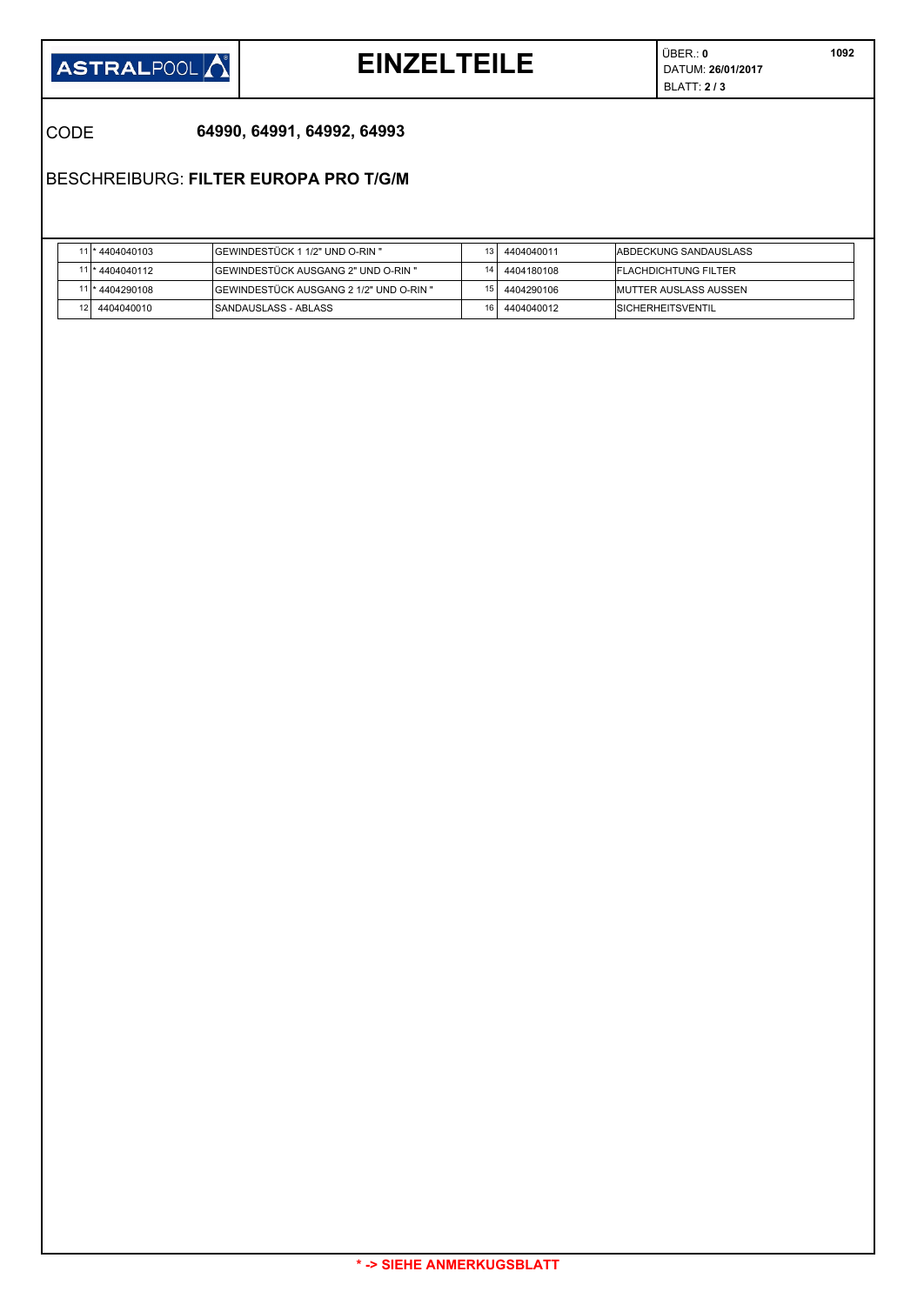![](_page_13_Picture_0.jpeg)

## **EINZELTEILE** DATUM: **26/01/2017**

ÜBER.: **0** BLATT: **2 / 3** 

CODE **64990, 64991, 64992, 64993**

## BESCHREIBURG: **FILTER EUROPA PRO T/G/M**

|     | 11 * 4404040103 | GEWINDESTÜCK 1 1/2" UND O-RIN "         | 4404040011 | IABDECKUNG SANDAUSLASS        |
|-----|-----------------|-----------------------------------------|------------|-------------------------------|
|     | 11 * 4404040112 | IGEWINDESTÜCK AUSGANG 2" UND O-RIN "    | 4404180108 | <b>IFLACHDICHTUNG FILTER</b>  |
|     | 11 * 4404290108 | SEWINDESTÜCK AUSGANG 2 1/2" UND O-RIN " | 4404290106 | <b>IMUTTER AUSLASS AUSSEN</b> |
| 121 | 4404040010      | ISANDAUSLASS - ABLASS                   | 4404040012 | <b>ISICHERHEITSVENTIL</b>     |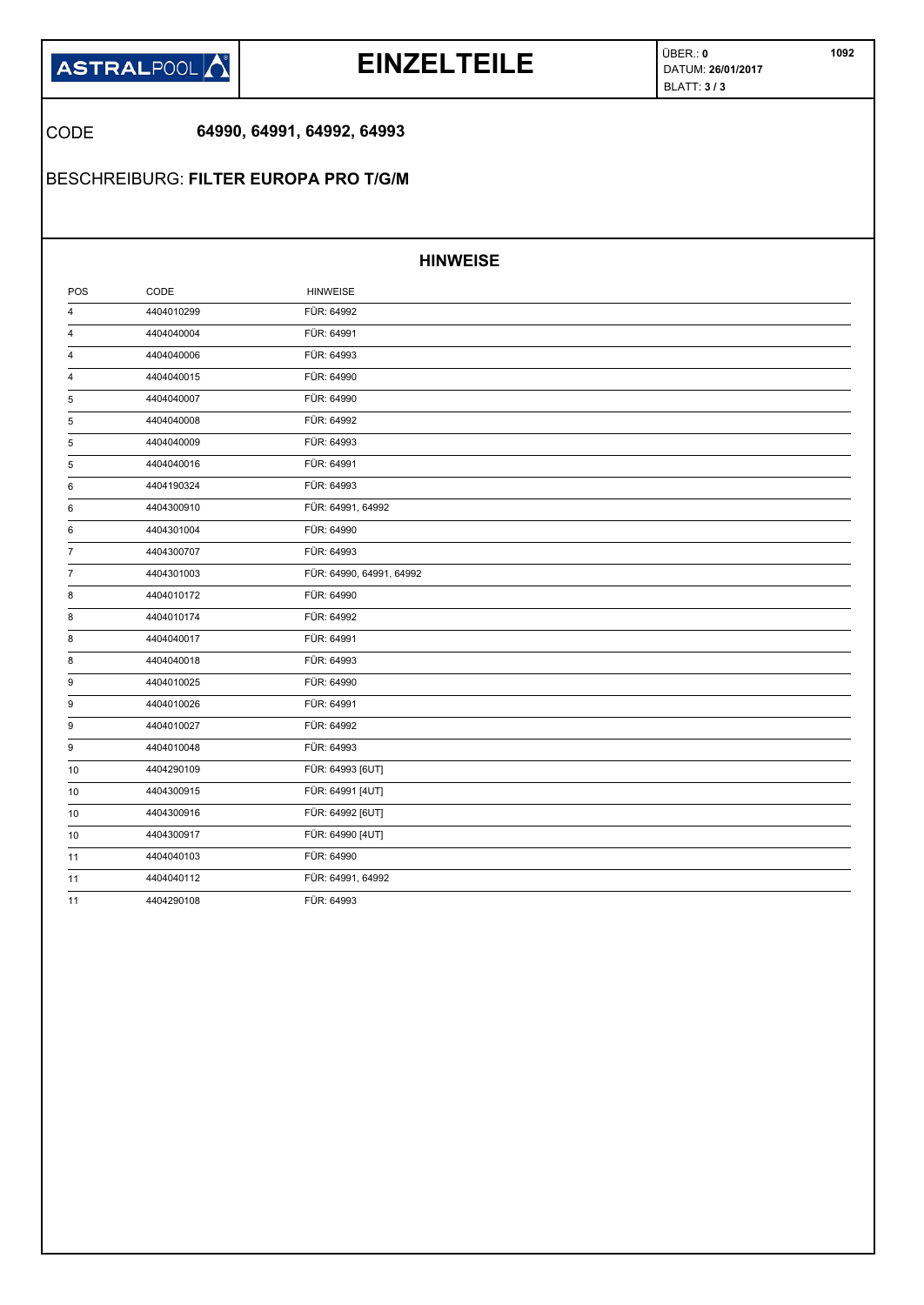![](_page_14_Picture_0.jpeg)

## **EINZELTEILE** DATUM: **26/01/2017**

ÜBER.: **0** BLATT: **3 / 3** 

## CODE **64990, 64991, 64992, 64993**

## BESCHREIBURG: **FILTER EUROPA PRO T/G/M**

### **HINWEISE**

| POS            | CODE       | <b>HINWEISE</b>          |  |
|----------------|------------|--------------------------|--|
| 4              | 4404010299 | FÜR: 64992               |  |
| 4              | 4404040004 | FÜR: 64991               |  |
| 4              | 4404040006 | FÜR: 64993               |  |
| 4              | 4404040015 | FÜR: 64990               |  |
| 5              | 4404040007 | FÜR: 64990               |  |
| 5              | 4404040008 | FÜR: 64992               |  |
| 5              | 4404040009 | FÜR: 64993               |  |
| 5              | 4404040016 | FÜR: 64991               |  |
| 6              | 4404190324 | FÜR: 64993               |  |
| 6              | 4404300910 | FÜR: 64991, 64992        |  |
| 6              | 4404301004 | FÜR: 64990               |  |
| $\overline{7}$ | 4404300707 | FÜR: 64993               |  |
| $\overline{7}$ | 4404301003 | FÜR: 64990, 64991, 64992 |  |
| 8              | 4404010172 | FÜR: 64990               |  |
| 8              | 4404010174 | FÜR: 64992               |  |
| 8              | 4404040017 | FÜR: 64991               |  |
| 8              | 4404040018 | FÜR: 64993               |  |
| 9              | 4404010025 | FÜR: 64990               |  |
| 9              | 4404010026 | FÜR: 64991               |  |
| 9              | 4404010027 | FÜR: 64992               |  |
| 9              | 4404010048 | FÜR: 64993               |  |
| 10             | 4404290109 | FÜR: 64993 [6UT]         |  |
| 10             | 4404300915 | FÜR: 64991 [4UT]         |  |
| 10             | 4404300916 | FÜR: 64992 [6UT]         |  |
| 10             | 4404300917 | FÜR: 64990 [4UT]         |  |
| 11             | 4404040103 | FÜR: 64990               |  |
| 11             | 4404040112 | FÜR: 64991, 64992        |  |
| 11             | 4404290108 | FÜR: 64993               |  |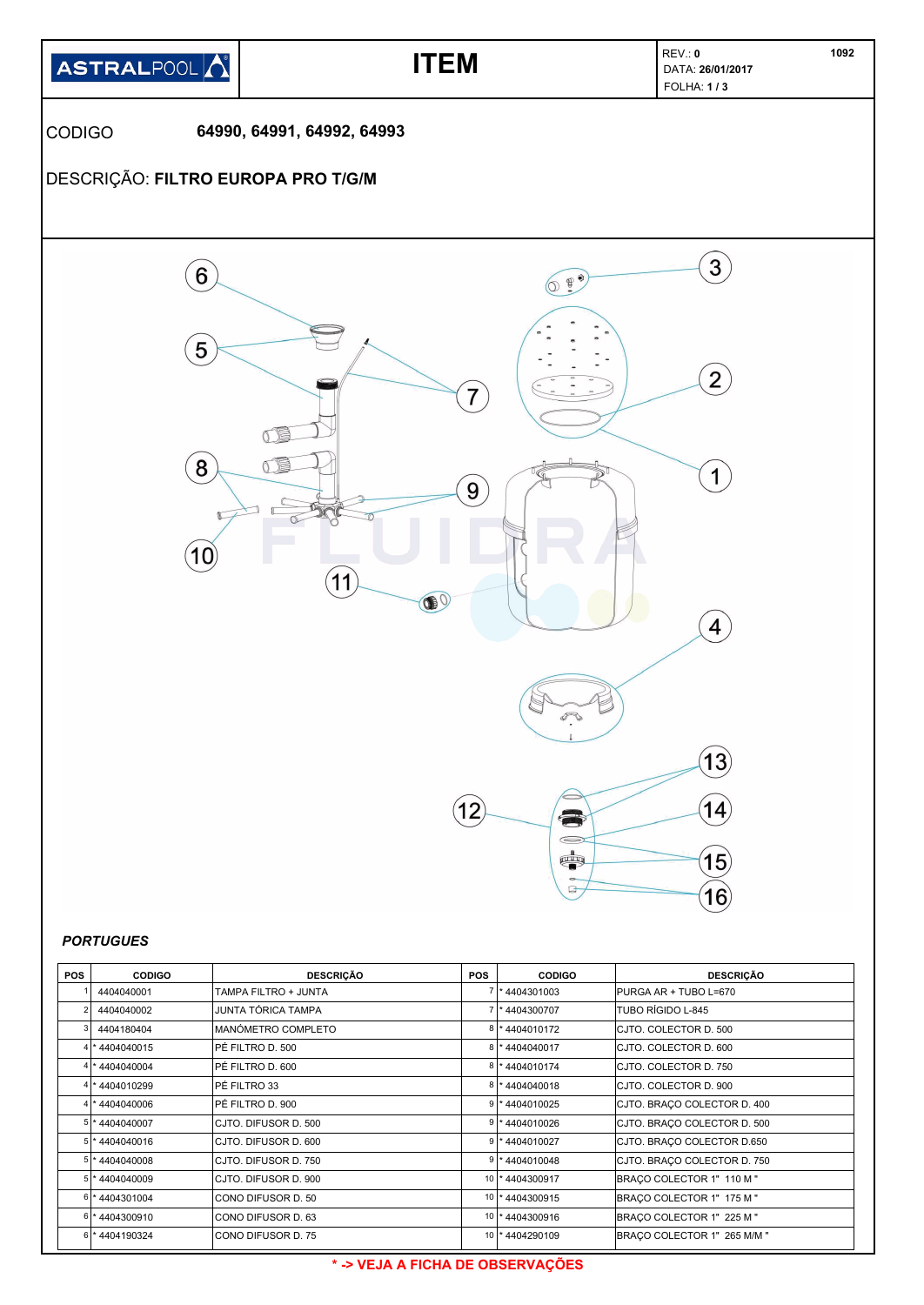![](_page_15_Figure_0.jpeg)

| <b>PORTUGUES</b> |  |
|------------------|--|
|------------------|--|

| <b>POS</b>     | <b>CODIGO</b>  | <b>DESCRICÃO</b>     | <b>POS</b> | <b>CODIGO</b>     | <b>DESCRICÃO</b>            |
|----------------|----------------|----------------------|------------|-------------------|-----------------------------|
|                | 4404040001     | TAMPA FILTRO + JUNTA |            | 7 * 4404301003    | PURGA AR + TUBO L=670       |
| $\overline{2}$ | 4404040002     | JUNTA TÓRICA TAMPA   |            | 7 * 4404300707    | lTUBO RÍGIDO L-845          |
|                | 4404180404     | MANÓMETRO COMPLETO   |            | 8 * 4404010172    | ICJTO. COLECTOR D. 500      |
|                | 4 * 4404040015 | PÉ FILTRO D. 500     |            | 8 * 4404040017    | ICJTO. COLECTOR D. 600      |
|                | 4 * 4404040004 | PÉ FILTRO D. 600     |            | 8 * 4404010174    | ICJTO. COLECTOR D. 750      |
|                | 4 * 4404010299 | PÉ FILTRO 33         |            | 8 * 4404040018    | ICJTO. COLECTOR D. 900      |
|                | 4 * 4404040006 | PÉ FILTRO D. 900     |            | $9$  * 4404010025 | CJTO. BRAÇO COLECTOR D. 400 |
|                | 5 * 4404040007 | CJTO, DIFUSOR D. 500 |            | $9$ * 4404010026  | CJTO. BRAÇO COLECTOR D. 500 |
|                | 5 * 4404040016 | CJTO, DIFUSOR D. 600 |            | 9 * 4404010027    | CJTO. BRAÇO COLECTOR D.650  |
|                | 5 * 4404040008 | CJTO, DIFUSOR D. 750 |            | 9 * 4404010048    | CJTO. BRACO COLECTOR D. 750 |
|                | 5 * 4404040009 | CJTO, DIFUSOR D. 900 |            | 10 * 4404300917   | BRACO COLECTOR 1" 110 M "   |
|                | 6 * 4404301004 | CONO DIFUSOR D. 50   |            | 10   * 4404300915 | BRACO COLECTOR 1" 175 M "   |
|                | 6 * 4404300910 | CONO DIFUSOR D. 63   |            | 10   * 4404300916 | BRACO COLECTOR 1" 225 M "   |
|                | 6 * 4404190324 | CONO DIFUSOR D. 75   |            | 10   * 4404290109 | BRACO COLECTOR 1" 265 M/M " |

### **\* -> VEJA A FICHA DE OBSERVAÇÕES**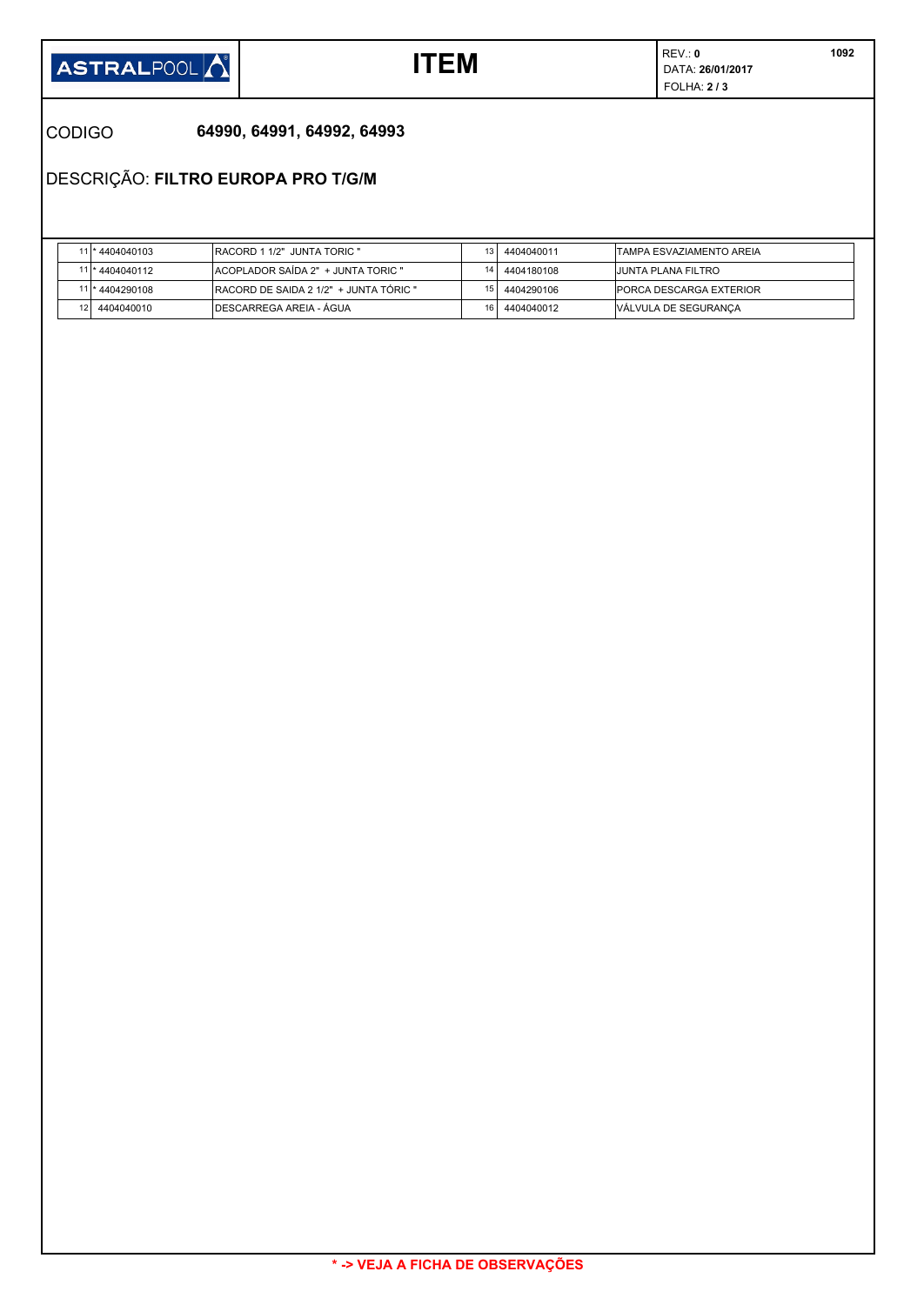![](_page_16_Picture_0.jpeg)

REV.: **0 ITEM**  $\begin{array}{c} \mathsf{REV}: 0 \\ \mathsf{DATA}: 26/01/2017 \end{array}$ FOLHA: **2 / 3** 

### CODIGO **64990, 64991, 64992, 64993**

DESCRIÇÃO: **FILTRO EUROPA PRO T/G/M**

|    | *4404040103     | IRACORD 1 1/2" JUNTA TORIC "            |                 | 4404040011 | ITAMPA ESVAZIAMENTO AREIA      |
|----|-----------------|-----------------------------------------|-----------------|------------|--------------------------------|
|    | 11 * 4404040112 | ACOPLADOR SAIDA 2" + JUNTA TORIC "      |                 | 4404180108 | IJUNTA PLANA FILTRO            |
|    | l* 4404290108   | IRACORD DE SAIDA 2 1/2" + JUNTA TÓRIC " | 15.             | 4404290106 | <b>PORCA DESCARGA EXTERIOR</b> |
| 12 | 4404040010      | IDESCARREGA AREIA - ÁGUA                | 16 <sub>1</sub> | 4404040012 | VALVULA DE SEGURANÇA           |